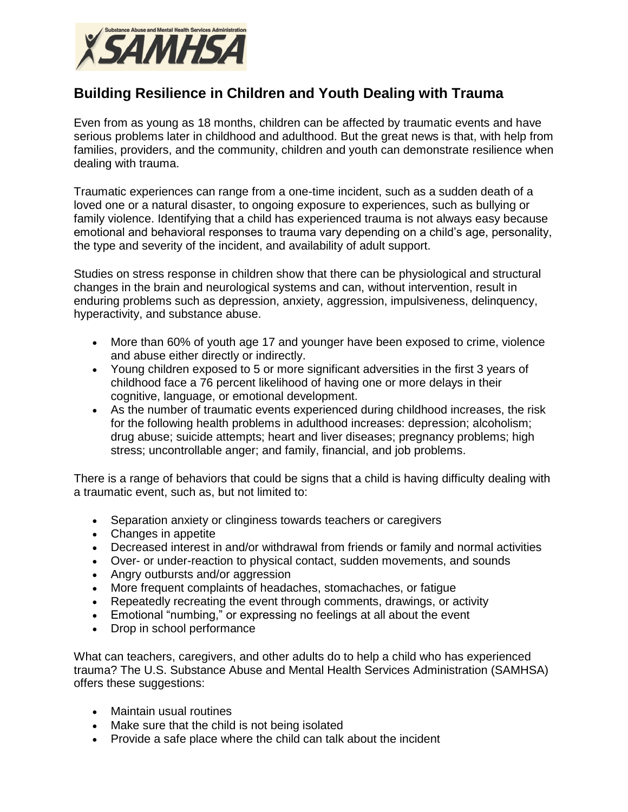

## **Building Resilience in Children and Youth Dealing with Trauma**

Even from as young as 18 months, children can be affected by traumatic events and have serious problems later in childhood and adulthood. But the great news is that, with help from families, providers, and the community, children and youth can demonstrate resilience when dealing with trauma.

Traumatic experiences can range from a one-time incident, such as a sudden death of a loved one or a natural disaster, to ongoing exposure to experiences, such as bullying or family violence. Identifying that a child has experienced trauma is not always easy because emotional and behavioral responses to trauma vary depending on a child's age, personality, the type and severity of the incident, and availability of adult support.

Studies on stress response in children show that there can be physiological and structural changes in the brain and neurological systems and can, without intervention, result in enduring problems such as depression, anxiety, aggression, impulsiveness, delinquency, hyperactivity, and substance abuse.

- More than 60% of youth age 17 and younger have been exposed to crime, violence and abuse either directly or indirectly.
- Young children exposed to 5 or more significant adversities in the first 3 years of childhood face a 76 percent likelihood of having one or more delays in their cognitive, language, or emotional development.
- As the number of traumatic events experienced during childhood increases, the risk for the following health problems in adulthood increases: depression; alcoholism; drug abuse; suicide attempts; heart and liver diseases; pregnancy problems; high stress; uncontrollable anger; and family, financial, and job problems.

There is a range of behaviors that could be signs that a child is having difficulty dealing with a traumatic event, such as, but not limited to:

- Separation anxiety or clinginess towards teachers or caregivers
- Changes in appetite
- Decreased interest in and/or withdrawal from friends or family and normal activities
- Over- or under-reaction to physical contact, sudden movements, and sounds
- Angry outbursts and/or aggression
- More frequent complaints of headaches, stomachaches, or fatigue
- Repeatedly recreating the event through comments, drawings, or activity
- Emotional "numbing," or expressing no feelings at all about the event
- Drop in school performance

What can teachers, caregivers, and other adults do to help a child who has experienced trauma? The U.S. Substance Abuse and Mental Health Services Administration (SAMHSA) offers these suggestions:

- Maintain usual routines
- Make sure that the child is not being isolated
- Provide a safe place where the child can talk about the incident